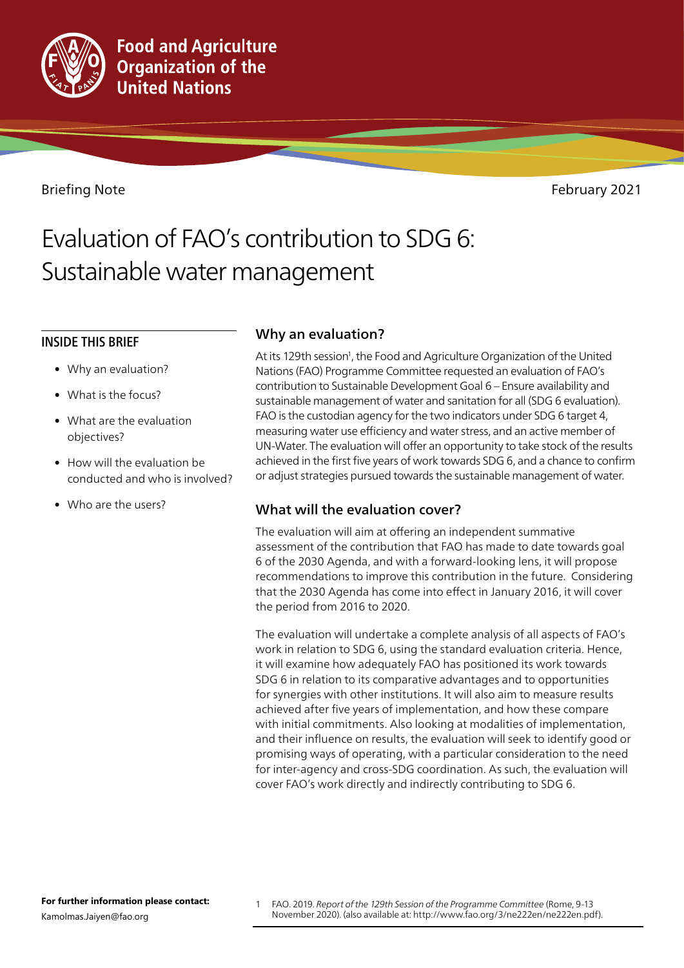

Briefing Note February 2021

# Evaluation of FAO's contribution to SDG 6: Sustainable water management

# INSIDE THIS BRIEF

- Why an evaluation?
- What is the focus?
- What are the evaluation objectives?
- How will the evaluation be conducted and who is involved?
- Who are the users?

# Why an evaluation?

At its 129th session<sup>1</sup>, the Food and Agriculture Organization of the United Nations (FAO) Programme Committee requested an evaluation of FAO's contribution to Sustainable Development Goal 6 – Ensure availability and sustainable management of water and sanitation for all (SDG 6 evaluation). FAO is the custodian agency for the two indicators under SDG 6 target 4, measuring water use efficiency and water stress, and an active member of UN-Water. The evaluation will offer an opportunity to take stock of the results achieved in the first five years of work towards SDG 6, and a chance to confirm or adjust strategies pursued towards the sustainable management of water.

# What will the evaluation cover?

The evaluation will aim at offering an independent summative assessment of the contribution that FAO has made to date towards goal 6 of the 2030 Agenda, and with a forward-looking lens, it will propose recommendations to improve this contribution in the future. Considering that the 2030 Agenda has come into effect in January 2016, it will cover the period from 2016 to 2020.

The evaluation will undertake a complete analysis of all aspects of FAO's work in relation to SDG 6, using the standard evaluation criteria. Hence, it will examine how adequately FAO has positioned its work towards SDG 6 in relation to its comparative advantages and to opportunities for synergies with other institutions. It will also aim to measure results achieved after five years of implementation, and how these compare with initial commitments. Also looking at modalities of implementation, and their influence on results, the evaluation will seek to identify good or promising ways of operating, with a particular consideration to the need for inter-agency and cross-SDG coordination. As such, the evaluation will cover FAO's work directly and indirectly contributing to SDG 6.

1 FAO. 2019. *Report of the 129th Session of the Programme Committee* (Rome, 9-13 November 2020). (also available at: http://www.fao.org/3/ne222en/ne222en.pdf).